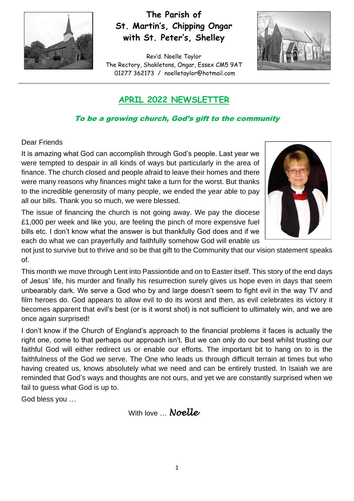

## **The Parish of St. Martin's, Chipping Ongar with St. Peter's, Shelley**

Rev'd. Noelle Taylor The Rectory, Shakletons, Ongar, Essex CM5 9AT 01277 362173 / [noelletaylor@hotmail.com](mailto:noelletaylor@hotmail.com)



## **APRIL 2022 NEWSLETTER**

## To be a growing church, God's gift to the community

### Dear Friends

It is amazing what God can accomplish through God's people. Last year we were tempted to despair in all kinds of ways but particularly in the area of finance. The church closed and people afraid to leave their homes and there were many reasons why finances might take a turn for the worst. But thanks to the incredible generosity of many people, we ended the year able to pay all our bills. Thank you so much, we were blessed.



The issue of financing the church is not going away. We pay the diocese £1,000 per week and like you, are feeling the pinch of more expensive fuel bills etc. I don't know what the answer is but thankfully God does and if we each do what we can prayerfully and faithfully somehow God will enable us

not just to survive but to thrive and so be that gift to the Community that our vision statement speaks of.

This month we move through Lent into Passiontide and on to Easter itself. This story of the end days of Jesus' life, his murder and finally his resurrection surely gives us hope even in days that seem unbearably dark. We serve a God who by and large doesn't seem to fight evil in the way TV and film heroes do. God appears to allow evil to do its worst and then, as evil celebrates its victory it becomes apparent that evil's best (or is it worst shot) is not sufficient to ultimately win, and we are once again surprised!

I don't know if the Church of England's approach to the financial problems it faces is actually the right one, come to that perhaps our approach isn't. But we can only do our best whilst trusting our faithful God will either redirect us or enable our efforts. The important bit to hang on to is the faithfulness of the God we serve. The One who leads us through difficult terrain at times but who having created us, knows absolutely what we need and can be entirely trusted. In Isaiah we are reminded that God's ways and thoughts are not ours, and yet we are constantly surprised when we fail to guess what God is up to.

God bless you …

With love … *Noelle*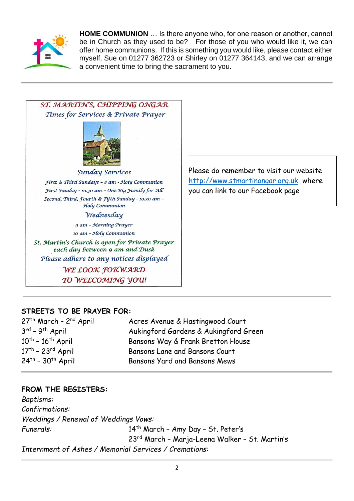

**HOME COMMUNION** … Is there anyone who, for one reason or another, cannot be in Church as they used to be? For those of you who would like it, we can offer home communions. If this is something you would like, please contact either myself, Sue on 01277 362723 or Shirley on 01277 364143, and we can arrange a convenient time to bring the sacrament to you.



Please do remember to visit our website [http://www.stmartinongar.org.uk](http://www.stmartinongar.org.uk/) where you can link to our Facebook page

## **STREETS TO BE PRAYER FOR:**

| $27th$ March - $2nd$ April                    | Acres Avenue & Hastingwood Court      |
|-----------------------------------------------|---------------------------------------|
| $3^{rd}$ - 9 <sup>th</sup> April              | Aukingford Gardens & Aukingford Green |
| $10^{th}$ - $16^{th}$ April                   | Bansons Way & Frank Bretton House     |
| $17th$ - 23 <sup>rd</sup> April               | Bansons Lane and Bansons Court        |
| $24$ <sup>th</sup> - $30$ <sup>th</sup> April | Bansons Yard and Bansons Mews         |

### **FROM THE REGISTERS:**

*Baptisms: Confirmations: Weddings / Renewal of Weddings Vows: Funerals:* 14th March – Amy Day – St. Peter's 23rd March – Marja-Leena Walker – St. Martin's *Internment of Ashes / Memorial Services / Cremations:*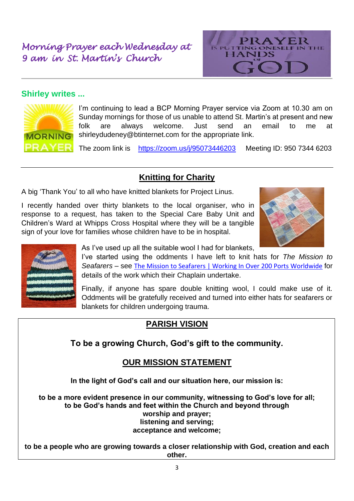# *Morning Prayer each Wednesday at 9 am in St. Martin's Church*



## **Shirley writes ...**



I'm continuing to lead a BCP Morning Prayer service via Zoom at 10.30 am on Sunday mornings for those of us unable to attend St. Martin's at present and new folk are always welcome. Just send an email to me at [shirleydudeney@btinternet.com](mailto:shirleydudeney@btinternet.com) for the appropriate link.

The zoom link is <https://zoom.us/j/95073446203>Meeting ID: 950 7344 6203

## **Knitting for Charity**

A big 'Thank You' to all who have knitted blankets for Project Linus.

I recently handed over thirty blankets to the local organiser, who in response to a request, has taken to the Special Care Baby Unit and Children's Ward at Whipps Cross Hospital where they will be a tangible sign of your love for families whose children have to be in hospital.





As I've used up all the suitable wool I had for blankets,

I've started using the oddments I have left to knit hats for *The Mission to Seafarers* – see [The Mission to Seafarers | Working In Over 200 Ports Worldwide](https://www.missiontoseafarers.org/) for details of the work which their Chaplain undertake.

Finally, if anyone has spare double knitting wool, I could make use of it. Oddments will be gratefully received and turned into either hats for seafarers or blankets for children undergoing trauma.

## **PARISH VISION**

**To be a growing Church, God's gift to the community.**

## **OUR MISSION STATEMENT**

**In the light of God's call and our situation here, our mission is:**

**to be a more evident presence in our community, witnessing to God's love for all; to be God's hands and feet within the Church and beyond through worship and prayer; listening and serving; acceptance and welcome;**

**to be a people who are growing towards a closer relationship with God, creation and each other.**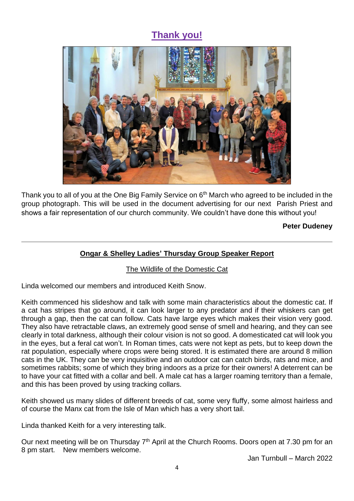# **Thank you!**



Thank you to all of you at the One Big Family Service on 6<sup>th</sup> March who agreed to be included in the group photograph. This will be used in the document advertising for our next Parish Priest and shows a fair representation of our church community. We couldn't have done this without you!

#### **Peter Dudeney**

## **Ongar & Shelley Ladies' Thursday Group Speaker Report**

### The Wildlife of the Domestic Cat

Linda welcomed our members and introduced Keith Snow.

Keith commenced his slideshow and talk with some main characteristics about the domestic cat. If a cat has stripes that go around, it can look larger to any predator and if their whiskers can get through a gap, then the cat can follow. Cats have large eyes which makes their vision very good. They also have retractable claws, an extremely good sense of smell and hearing, and they can see clearly in total darkness, although their colour vision is not so good. A domesticated cat will look you in the eyes, but a feral cat won't. In Roman times, cats were not kept as pets, but to keep down the rat population, especially where crops were being stored. It is estimated there are around 8 million cats in the UK. They can be very inquisitive and an outdoor cat can catch birds, rats and mice, and sometimes rabbits; some of which they bring indoors as a prize for their owners! A deterrent can be to have your cat fitted with a collar and bell. A male cat has a larger roaming territory than a female, and this has been proved by using tracking collars.

Keith showed us many slides of different breeds of cat, some very fluffy, some almost hairless and of course the Manx cat from the Isle of Man which has a very short tail.

Linda thanked Keith for a very interesting talk.

Our next meeting will be on Thursday  $7<sup>th</sup>$  April at the Church Rooms. Doors open at 7.30 pm for an 8 pm start. New members welcome.

Jan Turnbull – March 2022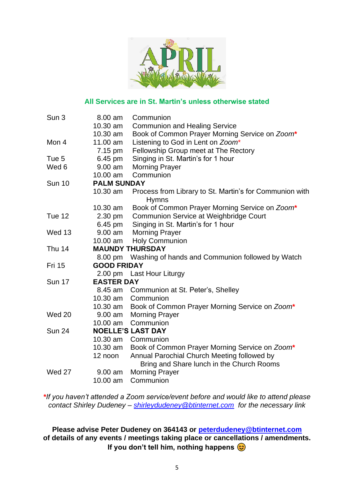

#### **All Services are in St. Martin's unless otherwise stated**

| Sun 3         | 8.00 am                  | Communion                                                                                |
|---------------|--------------------------|------------------------------------------------------------------------------------------|
|               | 10.30 am                 | <b>Communion and Healing Service</b>                                                     |
|               | 10.30 am                 | Book of Common Prayer Morning Service on Zoom*                                           |
| Mon 4         | 11.00 am                 | Listening to God in Lent on Zoom*                                                        |
|               | 7.15 pm                  | Fellowship Group meet at The Rectory                                                     |
| Tue 5         | 6.45 pm                  | Singing in St. Martin's for 1 hour                                                       |
| Wed 6         | 9.00 am                  | <b>Morning Prayer</b>                                                                    |
|               | 10.00 am                 | Communion                                                                                |
| <b>Sun 10</b> | <b>PALM SUNDAY</b>       |                                                                                          |
|               | 10.30 am                 | Process from Library to St. Martin's for Communion with                                  |
|               |                          | <b>Hymns</b>                                                                             |
|               | 10.30 am                 | Book of Common Prayer Morning Service on Zoom*                                           |
| Tue 12        | 2.30 pm                  | Communion Service at Weighbridge Court                                                   |
|               | 6.45 pm                  | Singing in St. Martin's for 1 hour                                                       |
| Wed 13        | 9.00 am                  | <b>Morning Prayer</b>                                                                    |
|               | $10.00$ am               | <b>Holy Communion</b>                                                                    |
| Thu 14        | <b>MAUNDY THURSDAY</b>   |                                                                                          |
|               | 8.00 pm                  | Washing of hands and Communion followed by Watch                                         |
| <b>Fri 15</b> | <b>GOOD FRIDAY</b>       |                                                                                          |
|               |                          | 2.00 pm Last Hour Liturgy                                                                |
| <b>Sun 17</b> | <b>EASTER DAY</b>        |                                                                                          |
|               | 8.45 am                  | Communion at St. Peter's, Shelley                                                        |
|               | 10.30 am                 | Communion                                                                                |
|               | 10.30 am                 | Book of Common Prayer Morning Service on Zoom*                                           |
| Wed 20        | $9.00$ am                | <b>Morning Prayer</b>                                                                    |
|               | 10.00 am                 | Communion                                                                                |
| <b>Sun 24</b> | <b>NOELLE'S LAST DAY</b> |                                                                                          |
|               | 10.30 am                 | Communion                                                                                |
|               | 10.30 am                 | Book of Common Prayer Morning Service on Zoom*                                           |
|               | 12 noon                  | Annual Parochial Church Meeting followed by<br>Bring and Share lunch in the Church Rooms |
| Wed 27        | $9.00$ am                | <b>Morning Prayer</b>                                                                    |
|               | 10.00 am                 | Communion                                                                                |
|               |                          |                                                                                          |

*\*If you haven't attended a Zoom service/event before and would like to attend please contact Shirley Dudeney – [shirleydudeney@btinternet.com](mailto:shirleydudeney@btinternet.com) for the necessary link*

**Please advise Peter Dudeney on 364143 or [peterdudeney@btinternet.com](mailto:peter@dudeneyp.freeserve.co.uk) of details of any events / meetings taking place or cancellations / amendments. If you don't tell him, nothing happens**